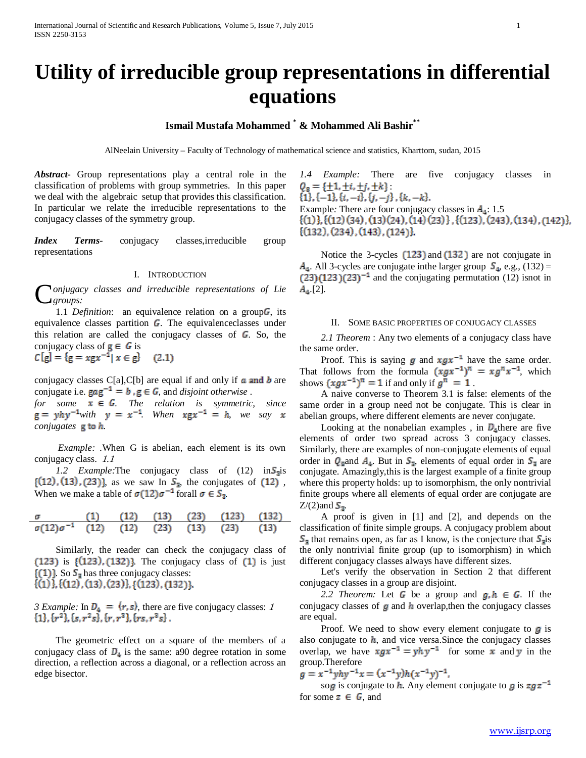# **Utility of irreducible group representations in differential equations**

# **Ismail Mustafa Mohammed \* & Mohammed Ali Bashir\*\***

AlNeelain University – Faculty of Technology of mathematical science and statistics, Kharttom, sudan, 2015

*Abstract***-** Group representations play a central role in the classification of problems with group symmetries. In this paper we deal with the algebraic setup that provides this classification. In particular we relate the irreducible representations to the conjugacy classes of the symmetry group.

*Index Terms*- conjugacy classes,irreducible group representations

# I. INTRODUCTION

*onjugacy classes and irreducible representations of Lie groups:* C

1.1 *Definition*: an equivalence relation on a group G, its equivalence classes partition  $\mathbb{G}$ . The equivalence classes under this relation are called the conjugacy classes of  $\epsilon$ . So, the conjugacy class of  $g \in G$  is  $C[g] = {g = xgx^{-1} | x \in g}$  (2.1)

conjugacy classes C[a],C[b] are equal if and only if  $\alpha$  and  $\boldsymbol{b}$  are conjugate i.e.  $\mathbf{gag}^{-1} = \mathbf{b} \cdot \mathbf{g} \in \mathbf{G}$ , and *disjoint otherwise*.

*for some*  $\mathbf{x} \in \mathbf{G}$ . The relation is symmetric, since  $g = yhy^{-1}$ *with*  $y = x^{-1}$  *When*  $xgx^{-1} = h$ *, we say x conjugates*  $\boldsymbol{g}$  to  $\boldsymbol{h}$ .

 *Example: .*When G is abelian, each element is its own conjugacy class. 1.1

*1.2 Example:*The conjugacy class of  $(12)$  in  $\mathbb{S}_{\mathbb{R}}$  is  $\{(12), (13), (23)\}$ , as we saw In  $S_{\mathbb{B}}$ , the conjugates of  $(12)$ , When we make a table of  $\sigma(12)\sigma^{-1}$  forall  $\sigma \in S_3$ .

$$
\begin{array}{cccccc}\n\sigma & (1) & (12) & (13) & (23) & (123) & (132) \\
\sigma(12)\sigma^{-1} & (12) & (12) & (23) & (13) & (23) & (13)\n\end{array}
$$

 Similarly, the reader can check the conjugacy class of  $(123)$  is  $\{(123), (132)\}$ . The conjugacy class of  $(1)$  is just  $\{(1)\}$  So  $S_{\pi}$  has three conjugacy classes:  $\{(1)\}, \{(12), (13), (23)\}, \{(123), (132)\}.$ 

*3 Example:* In  $\mathbf{D_4} = \langle \mathbf{r}, \mathbf{s} \rangle$ , there are five conjugacy classes: 1 {1}, { $\mathbf{r}^2$ }, { $\mathbf{s}, \mathbf{r}^2$  s}, { $\mathbf{r}, \mathbf{r}^2$ }, { $\mathbf{r} \mathbf{s}, \mathbf{r}^2$  s}, { $\mathbf{r}$ }

 The geometric effect on a square of the members of a conjugacy class of  $\mathbb{D}_4$  is the same: a90 degree rotation in some direction, a reflection across a diagonal, or a reflection across an edge bisector.

*1.4 Example:* There are five conjugacy classes in  $Q_{\rm g} = \{\pm 1, \pm i, \pm j, \pm k\}$  ${1, (-1), (i, -i), (j, -j), (k, -k)}.$ Example: There are four conjugacy classes in  $A_4$ : 1.5<br>{(1)}, {(12) (34), (13) (24), (14) (23)}, {(123), (243), (134), (142)}, {(132), (234), (143), (124)}.

Notice the 3-cycles  $(123)$  and  $(132)$  are not conjugate in  $A_4$ . All 3-cycles are conjugate in the larger group  $S_4$ , e.g., (132) =  $(23)(123)(23)^{-1}$  and the conjugating permutation (12) isnot in  $A_4$ [2].

#### II. SOME BASIC PROPERTIES OF CONJUGACY CLASSES

 *2.1 Theorem* : Any two elements of a conjugacy class have the same order.

Proof. This is saying  $\boldsymbol{g}$  and  $\boldsymbol{x} \boldsymbol{g} \boldsymbol{x}^{-1}$  have the same order. That follows from the formula  $(xgx^{-1})^n = xg^nx^{-1}$ , which shows  $(\mathbf{x}\mathbf{g}\mathbf{x}^{-1})^n = 1$  if and only if  $\mathbf{g}^n = 1$ .

 A naive converse to Theorem 3.1 is false: elements of the same order in a group need not be conjugate. This is clear in abelian groups, where different elements are never conjugate.

Looking at the nonabelian examples, in  $\mathbb{D}_{\alpha}$  there are five elements of order two spread across 3 conjugacy classes. Similarly, there are examples of non-conjugate elements of equal order in  $Q_{\text{g}}$  and  $A_{4}$ . But in  $S_{7}$ , elements of equal order in  $S_{7}$  are conjugate. Amazingly,this is the largest example of a finite group where this property holds: up to isomorphism, the only nontrivial finite groups where all elements of equal order are conjugate are  $Z/(2)$ and  $\mathbb{S}_{\mathbb{R}}$ .

 A proof is given in [1] and [2], and depends on the classification of finite simple groups. A conjugacy problem about  $S_{\pi}$  that remains open, as far as I know, is the conjecture that  $S_{\pi}$  is the only nontrivial finite group (up to isomorphism) in which different conjugacy classes always have different sizes.

 Let's verify the observation in Section 2 that different conjugacy classes in a group are disjoint.

2.2 Theorem: Let G be a group and  $g,h \in G$ . If the conjugacy classes of  $\boldsymbol{g}$  and  $\boldsymbol{h}$  overlap, then the conjugacy classes are equal.

Proof. We need to show every element conjugate to  $\boldsymbol{\mu}$  is also conjugate to  $h$ , and vice versa. Since the conjugacy classes overlap, we have  $\mathbf{z} \mathbf{g} \mathbf{x}^{-1} = y \mathbf{h} \mathbf{y}^{-1}$  for some  $\mathbf{x}$  and  $\mathbf{y}$  in the group.Therefore<br> $g = x^{-1}yhy^{-1}x = (x^{-1}y)h(x^{-1}y)^{-1}$ ,

sog is conjugate to h. Any element conjugate to g is  $zg^{-1}$ for some  $\boldsymbol{\mathsf{z}} \in \boldsymbol{\mathsf{G}}$ , and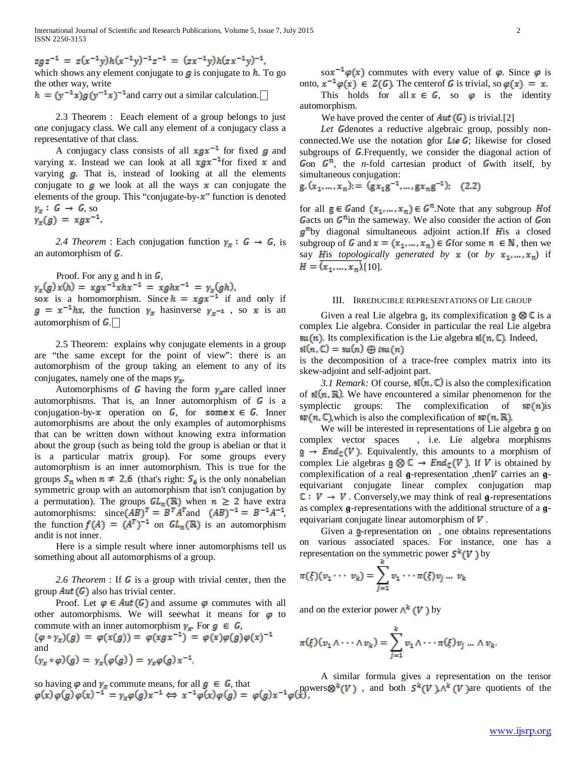$zgz^{-1} = z(x^{-1}y)h(x^{-1}y)^{-1}z^{-1} = (zx^{-1}y)h(zx^{-1}y)^{-1}$ which shows any element conjugate to  $g$  is conjugate to  $h$ . To go the other way, write

 $h = (y^{-1}x)g(y^{-1}x)^{-1}$  and carry out a similar calculation.

 2.3 Theorem : Eeach element of a group belongs to just one conjugacy class. We call any element of a conjugacy class a representative of that class.

A conjugacy class consists of all  $\pi g x^{-1}$  for fixed g and varying  $\bar{x}$ . Instead we can look at all  $\bar{x}g\bar{x}^{-1}$  for fixed  $\bar{x}$  and varying  $\boldsymbol{g}$ . That is, instead of looking at all the elements conjugate to  $\phi$  we look at all the ways  $\bar{x}$  can conjugate the elements of the group. This "conjugate-by- $\mathbf{x}$ " function is denoted  $y_x: G \rightarrow G$ , so  $y_x(g) = xgx^{-1}$ .

2.4 Theorem : Each conjugation function  $y_x : G \rightarrow G$ , is an automorphism of  $\boldsymbol{G}$ .

Proof. For any g and h in  $G$ ,<br>  $\gamma_x(g)x(h) = xgx^{-1}xhx^{-1} = xghx^{-1} = \gamma_x(gh)$ , sox is a homomorphism. Since  $h = xgx^{-1}$  if and only if  $g = x^{-1}hx$ , the function  $\gamma_x$  has inverse  $\gamma_{x^{-1}}$ , so x is an automorphism of  $\mathbb{G}$ .

 2.5 Theorem: explains why conjugate elements in a group are "the same except for the point of view": there is an automorphism of the group taking an element to any of its conjugates, namely one of the maps  $\mathbf{F}_{\mathbf{F}}$ .

Automorphisms of  $\mathbf{G}$  having the form  $\mathbf{y}_n$  are called inner automorphisms. That is, an Inner automorphism of  $\mathbb{G}$  is a conjugation-by- $x$  operation on  $\mathcal{G}$ , for some  $x \in \mathcal{G}$ . Inner automorphisms are about the only examples of automorphisms that can be written down without knowing extra information about the group (such as being told the group is abelian or that it is a particular matrix group). For some groups every automorphism is an inner automorphism. This is true for the groups  $S_n$  when  $n \neq 2,6$  (that's right:  $S_6$  is the only nonabelian symmetric group with an automorphism that isn't conjugation by a permutation). The groups  $GL_n(\mathbb{R})$  when  $n \geq 2$  have extra automorphisms:  $\text{since}(AB)^T = B^T A^T$  and  $(AB)^{-1} = B^{-1}A^{-1}$ , the function  $f(A) = (A^T)^{-1}$  on  $GL_n(\mathbb{R})$  is an automorphism andit is not inner.

 Here is a simple result where inner automorphisms tell us something about all automorphisms of a group.

2.6 Theorem : If  $\bf{G}$  is a group with trivial center, then the group  $Aut(G)$  also has trivial center.

Proof. Let  $\varphi \in Aut(G)$  and assume  $\varphi$  commutes with all other automorphisms. We will seewhat it means for  $\varphi$  to commute with an inner automorphism  $y_x$ . For  $g \in G$ ,<br>  $(\varphi \circ y_x)(g) = \varphi(x(g)) = \varphi(xgx^{-1}) = \varphi(x)\varphi(g)\varphi(x)^{-1}$ 

and<br>  $(y_x \circ \varphi)(q) = \gamma_x(\varphi(q)) = \gamma_x \varphi(q) x^{-1}$ ,

so having  $\varphi$  and  $\gamma_x$  commute means, for all  $g \in G$ , that<br>powers  $\otimes^k(V)$ , and both  $S^k(V)$ ,  $\wedge^k(V)$  are quotients of the

so $x^{-1}\varphi(x)$  commutes with every value of  $\varphi$ . Since  $\varphi$  is onto,  $x^{-1}\varphi(x) \in Z(G)$ . The centerof G is trivial, so  $\varphi(x) = x$ . This holds for all  $x \in G$ , so  $\varphi$  is the identity automorphism.

We have proved the center of  $Aut(G)$  is trivial.[2]

Let Gdenotes a reductive algebraic group, possibly nonconnected. We use the notation  $\phi$  for Lie G; likewise for closed subgroups of G.Frequently, we consider the diagonal action of Gon  $G^m$ , the *n*-fold cartesian product of Gwith itself, by simultaneous conjugation:

$$
g.(x_1,...,x_n) := (gx_1g^{-1},...,gx_ng^{-1}); \quad (2.2)
$$

for all  $g \in \mathcal{G}$  and  $(x_1, \ldots, x_n) \in \mathcal{G}^n$ . Note that any subgroup Hof Gacts on  $G<sup>m</sup>$  in the sameway. We also consider the action of Gon  $g<sup>n</sup>$ by diagonal simultaneous adjoint action.If His a closed subgroup of G and  $\mathbf{x} = (\mathbf{x}_1, \dots, \mathbf{x}_n) \in G$  for some  $n \in \mathbb{N}$ , then we say His *topologically generated by*  $\mathbf{\bar{x}}$  (or *by*  $\mathbf{\bar{x}}_1, \dots, \mathbf{\bar{x}}_n$ ) if  $H = (x_1, \ldots, x_n).$ [10].

# III. IRREDUCIBLE REPRESENTATIONS OF LIE GROUP

Given a real Lie algebra  $\mathbf{\underline{a}}$ , its complexification  $\mathbf{\underline{a}} \otimes \mathbf{\mathbb{C}}$  is a complex Lie algebra. Consider in particular the real Lie algebra  $\mathfrak{su}(n)$ . Its complexification is the Lie algebra  $\mathfrak{sl}(n,\mathbb{C})$ . Indeed,  $\operatorname{sl}(n,\mathbb{C})=\operatorname{su}(n)\oplus i\operatorname{su}(n)$ 

is the decomposition of a trace-free complex matrix into its skew-adjoint and self-adjoint part.

*3.1 Remark:* Of course,  $\mathbb{I}(n, \mathbb{C})$  is also the complexification of  $\mathfrak{sl}(n,\mathbb{R})$ . We have encountered a similar phenomenon for the symplectic groups: The complexification of  $\mathfrak{sp}(n)$  is  $\mathfrak{sp}(n,\mathbb{C})$ , which is also the complexification of  $\mathfrak{sp}(n,\mathbb{R})$ .

We will be interested in representations of Lie algebra  $\phi$  on complex vector spaces , i.e. Lie algebra morphisms  $\mathfrak{g} \to \mathfrak{End}_{\mathbb{C}}(V)$ . Equivalently, this amounts to a morphism of complex Lie algebras  $\mathfrak{g} \otimes \mathbb{C} \to \text{End}_{\mathbb{C}}(V)$ . If V is obtained by complexification of a real  $\mathbf{g}$ -representation , then  $V$  carries an  $\mathbf{g}$ equivariant conjugate linear complex conjugation map  $\mathbb{C}: V \to V$ . Conversely, we may think of real **q**-representations as complex  $g$ -representations with the additional structure of a  $g$ equivariant conjugate linear automorphism of  $V$ .

Given a  $g$ -representation on, one obtains representations on various associated spaces. For instance, one has a representation on the symmetric power  $S^k(V)$  by

$$
\pi(\xi)(v_1\cdots v_k)=\sum_{j=1}^{\infty}v_1\cdots\pi(\xi)v_j\ldots v_k
$$

and on the exterior power  $A^k(V)$  by

$$
\pi(\xi)(v_1 \wedge \cdots \wedge v_k) = \sum_{j=1}^k v_1 \wedge \cdots \pi(\xi)v_j \dots \wedge v_k.
$$

A similar formula gives a representation on the tensor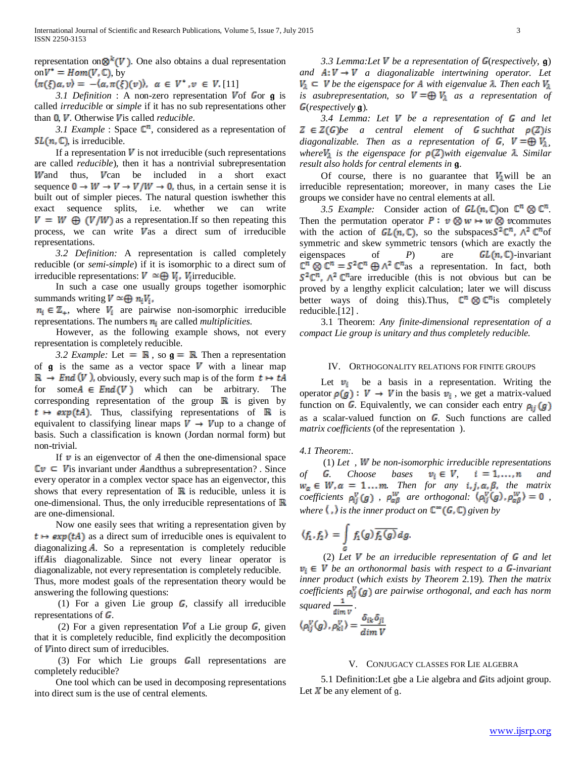representation on  $\mathbb{S}^k(V)$ . One also obtains a dual representation on  $V^* = Hom(V, \mathbb{C})$ , by

 $\langle \pi(\xi)\alpha, v \rangle = -\langle \alpha, \pi(\xi)(v) \rangle, \ \alpha \in V^*$ ,  $v \in V$ . [11]

*3.1 Definition* : A non-zero representation Vof Gor **g** is called *irreducible* or *simple* if it has no sub representations other than **0**, *V*. Otherwise *V*is called *reducible*.

*3.1 Example* : Space  $\mathbb{C}^n$ , considered as a representation of  $SL(n, \mathbb{C})$ , is irreducible.

If a representation  $V$  is not irreducible (such representations are called *reducible*), then it has a nontrivial subrepresentation Wand thus, Van be included in a short exact sequence  $\mathbf{0} \to W \to V \to V/W \to \mathbf{0}$ , thus, in a certain sense it is built out of simpler pieces. The natural question iswhether this exact sequence splits, i.e. whether we can write  $V = W \oplus (V/W)$  as a representation. If so then repeating this process, we can write  $V$ as a direct sum of irreducible representations.

 *3.2 Definition:* A representation is called completely reducible (or *semi-simple*) if it is isomorphic to a direct sum of irreducible representations:  $V \cong \bigoplus V_i$ .  $V_i$  irreducible.

 In such a case one usually groups together isomorphic summands writing  $V \cong \bigoplus n_iV_i$ .

 $n_i \in \mathbb{Z}_+$ , where  $V_i$  are pairwise non-isomorphic irreducible representations. The numbers are called *multiplicities*.

 However, as the following example shows, not every representation is completely reducible.

*3.2 Example:* Let  $= \mathbb{R}$ , so  $g = \mathbb{R}$ . Then a representation of  $g$  is the same as a vector space  $V$  with a linear map  $\mathbb{R} \to \text{End}(V)$ , obviously, every such map is of the form  $t \mapsto tA$ for some  $A \in End(V)$  which can be arbitrary. The corresponding representation of the group  $\mathbb{R}$  is given by  $t \mapsto exp(tA)$  Thus, classifying representations of R is equivalent to classifying linear maps  $V \rightarrow V$ up to a change of basis. Such a classification is known (Jordan normal form) but non-trivial.

If  $\psi$  is an eigenvector of  $\mathbf{\hat{A}}$  then the one-dimensional space  $\mathbb{C}v \subseteq V$  is invariant under A and thus a subrepresentation? . Since every operator in a complex vector space has an eigenvector, this shows that every representation of  $\mathbb R$  is reducible, unless it is one-dimensional. Thus, the only irreducible representations of  $\mathbb R$ are one-dimensional.

 Now one easily sees that writing a representation given by  $t \mapsto exp(tA)$  as a direct sum of irreducible ones is equivalent to diagonalizing **A**. So a representation is completely reducible iff Ais diagonalizable. Since not every linear operator is diagonalizable, not every representation is completely reducible. Thus, more modest goals of the representation theory would be answering the following questions:

(1) For a given Lie group  $\mathbb{G}$ , classify all irreducible representations of  $\boldsymbol{G}$ .

(2) For a given representation  $V$  of a Lie group  $\mathbf{G}$ , given that it is completely reducible, find explicitly the decomposition of  **into direct sum of irreducibles.** 

 $(3)$  For which Lie groups Gall representations are completely reducible?

 One tool which can be used in decomposing representations into direct sum is the use of central elements.

*3.3 Lemma:Let V be a representation of G(respectively, g)* and  $A: V \to V$  a diagonalizable intertwining operator. Let  $V_{\mathbf{a}} \subseteq V$  be the eigenspace for **A** with eigenvalue **A**. Then each  $V_{\mathbf{a}}$ *is asubrepresentation, so*  $V = \bigoplus V_1$  *as a representation of* (*respectively* )*.*

3.4 Lemma: Let  $V$  be a representation of  $G$  and let  $Z \in Z(G)$ be a central element of **G** suchthat  $p(Z)$ is *diagonalizable. Then as a representation of*  $\mathbf{G}$ ,  $V = \bigoplus V_{\lambda}$ , *where*  $V_{\mathbb{A}}$  *is the eigenspace for*  $p(\mathbb{Z})$  *with eigenvalue*  $\mathbb{A}$ *. Similar result also holds for central elements in .*

Of course, there is no guarantee that  $\mathbb{K}_{\mathbb{N}}$  will be an irreducible representation; moreover, in many cases the Lie groups we consider have no central elements at all.

*3.5 Example:* Consider action of  $GL(n, \mathbb{C})$  on  $\mathbb{C}^n \otimes \mathbb{C}^n$ . Then the permutation operator  $P: v \otimes w \mapsto w \otimes v$  commutes with the action of  $GL(n,\mathbb{C})$ , so the subspaces  $S^2\mathbb{C}^n$ ,  $A^2\mathbb{C}^n$  of symmetric and skew symmetric tensors (which are exactly the eigenspaces of *P*) are  $GL(n,\mathbb{C})$ -invariant  $\mathbb{C}^n \otimes \mathbb{C}^n = S^2 \mathbb{C}^n \oplus \Lambda^2 \mathbb{C}^n$  as a representation. In fact, both  $5^2\mathbb{C}^n$ ,  $\mathbb{A}^2\mathbb{C}^n$  are irreducible (this is not obvious but can be proved by a lengthy explicit calculation; later we will discuss better ways of doing this). Thus,  $\mathbb{C}^n \otimes \mathbb{C}^n$  is completely reducible.[12] .

 3.1 Theorem: *Any finite-dimensional representation of a compact Lie group is unitary and thus completely reducible.*

# IV. ORTHOGONALITY RELATIONS FOR FINITE GROUPS

Let  $\mathbb{F}_{\mathbb{I}}$  be a basis in a representation. Writing the operator  $p(g): V \rightarrow V$  in the basis  $v_{\parallel}$ , we get a matrix-valued function on G. Equivalently, we can consider each entry  $p_{ij}(g)$ as a scalar-valued function on  $G$ . Such functions are called *matrix coefficients* (of the representation ).

*4.1 Theorem:.*

 (1) *Let , be non-isomorphic irreducible representations of* **G**. Choose bases  $v_i \in V$ ,  $i = 1, ..., n$  and *Ihen for any*  $i_*j_*\alpha_*\beta_*$  *the matrix coefficients*  $\rho_{ii}^V(g)$ ,  $\rho_{\alpha\beta}^W$  are orthogonal:  $\langle \rho_{ii}^V(g), \rho_{\alpha\beta}^W \rangle = 0$ , *where*  $\langle \cdot \rangle$  *is the inner product on*  $\mathbb{C}^{\infty}(G,\mathbb{C})$  given by

$$
\langle f_1, f_2 \rangle = \int\limits_{G} f_1(g) \overline{f_2(g)} dg.
$$

(2) Let  $V$  be an irreducible representation of  $G$  and let  $\mathbf{v}_i \in \mathbf{V}$  be an orthonormal basis with respect to a **G**-invariant *inner product* (*which exists by Theorem* 2.19)*. Then the matrix coefficients*  $\mathbf{p}_{ij}^{\mathbf{v}}(\mathbf{g})$  are pairwise orthogonal, and each has norm *squared*  $\frac{1}{\sqrt{2}}$ 

$$
\langle \rho_{ij}^V(g), \rho_{kl}^V \rangle = \frac{\delta_{ik} \delta_{jl}}{dim V}
$$

#### V. CONJUGACY CLASSES FOR LIE ALGEBRA

5.1 Definition: Let gbe a Lie algebra and Gits adjoint group. Let  $X$  be any element of g.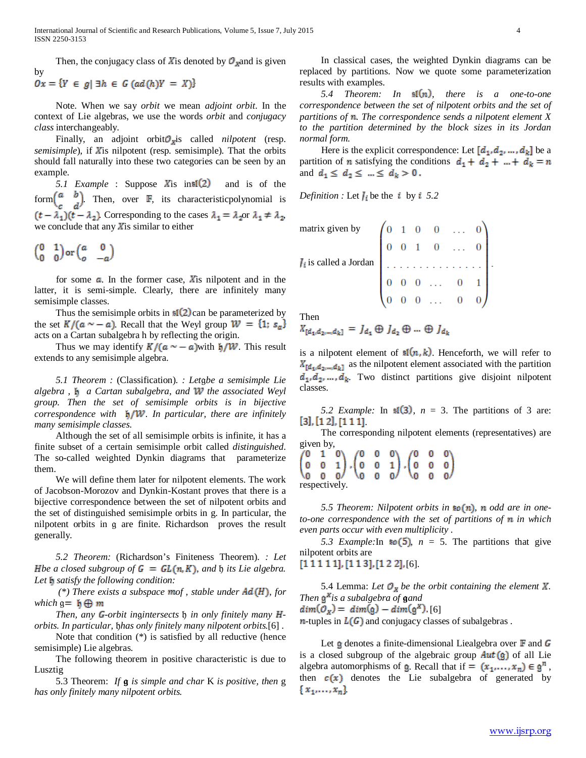Then, the conjugacy class of X is denoted by  $\mathcal{O}_x$  and is given by  $0x = {Y \in g | \exists h \in G \ (ad(h)Y = X)}$ 

 Note. When we say *orbit* we mean *adjoint orbit*. In the context of Lie algebras, we use the words *orbit* and *conjugacy class* interchangeably.

Finally, an adjoint orbit is called *nilpotent* (resp. *semisimple*), if **X** is nilpotent (resp. semisimple). That the orbits should fall naturally into these two categories can be seen by an example.

*5.1 Example* : Suppose *X* is in s1(2) and is of the form  $\begin{bmatrix} a & b \\ c & d \end{bmatrix}$ . Then, over  $\mathbb{F}$ , its characteristic polynomial is . Corresponding to the cases  $\lambda_1 = \lambda_2$  or  $\lambda_1 \neq \lambda_2$ , we conclude that any  $X$  is similar to either

$$
\begin{pmatrix} 0 & 1 \\ 0 & 0 \end{pmatrix} \text{or} \begin{pmatrix} a & 0 \\ o & -a \end{pmatrix}
$$

for some  $\alpha$ . In the former case, X is nilpotent and in the latter, it is semi-simple. Clearly, there are infinitely many semisimple classes.

Thus the semisimple orbits in  $\mathfrak{sl}(2)$  can be parameterized by the set  $K/(a \sim -a)$ . Recall that the Weyl group  $W = \{1, s_{\alpha}\}\$ acts on a Cartan subalgebra h by reflecting the origin.

Thus we may identify  $K/(\mathfrak{a} \sim -\mathfrak{a})$  with  $\sharp/\mathcal{W}$ . This result extends to any semisimple algebra.

 *5.1 Theorem :* (Classification). *: Letbe a semisimple Lie algebra , a Cartan subalgebra, and the associated Weyl group. Then the set of semisimple orbits is in bijective correspondence with . In particular, there are infinitely many semisimple classes.* 

 Although the set of all semisimple orbits is infinite, it has a finite subset of a certain semisimple orbit called *distinguished*. The so-called weighted Dynkin diagrams that parameterize them.

 We will define them later for nilpotent elements. The work of Jacobson-Morozov and Dynkin-Kostant proves that there is a bijective correspondence between the set of nilpotent orbits and the set of distinguished semisimple orbits in g. In particular, the nilpotent orbits in g are finite. Richardson proves the result generally.

 *5.2 Theorem:* (Richardson's Finiteness Theorem). *: Let Hbe a closed subgroup of*  $\mathbf{G} = \mathbf{GL}(\mathfrak{n}, K)$ *, and*  $\mathfrak{h}$  *its Lie algebra. Let satisfy the following condition:*

 $(*)$  There exists a subspace mof, stable under  $Ad(H)$ , for *which*  $q = \mathbf{h} \oplus \mathbf{m}$ 

*Then, any G-orbit ingintersects h in only finitely many Horbits. In particular, has only finitely many nilpotent orbits.*[6] .

 Note that condition (\*) is satisfied by all reductive (hence semisimple) Lie algebras.

 The following theorem in positive characteristic is due to Lusztig

 5.3 Theorem: *If is simple and char* K *is positive, then* g *has only finitely many nilpotent orbits.*

 In classical cases, the weighted Dynkin diagrams can be replaced by partitions. Now we quote some parameterization results with examples.

*5.4 Theorem: In*  $\mathbb{I}(n)$ , *there is a one-to-one correspondence between the set of nilpotent orbits and the set of*  partitions of **n**. The correspondence sends a nilpotent element X *to the partition determined by the block sizes in its Jordan normal form.* 

Here is the explicit correspondence: Let  $[d_1, d_2, ..., d_k]$  be a partition of **n** satisfying the conditions  $d_1 + d_2 + ... + d_k = n$ and  $d_1 \leq d_2 \leq ... \leq d_k > 0$ .

*Definition :* Let  $\mathbf{I}_i$  be the  $\bar{\mathbf{i}}$  by  $\bar{\mathbf{i}}$  5.2

| matrix given by $\left(0, 1, 0, 0, \ldots, 0\right)$ |  |                                             |  |  |
|------------------------------------------------------|--|---------------------------------------------|--|--|
|                                                      |  | $0\quad 0\quad 1\quad 0\quad \ldots\quad 0$ |  |  |
| $I_i$ is called a Jordan $\vert \cdot \vert$ .       |  | .                                           |  |  |
|                                                      |  | $0 \t 0 \t 0 \t \ldots \t 0 \t 1$           |  |  |
|                                                      |  | $0 \quad 0 \quad \ldots \quad 0$            |  |  |

Then

$$
X_{\llbracket d_1, d_2, \ldots, d_k \rrbracket} = J_{d_1} \oplus J_{d_2} \oplus \ldots \oplus J_{d_k}
$$

is a nilpotent element of  $\mathfrak{sl}(n,k)$ . Henceforth, we will refer to  $X_{\lceil d_1, d_2, \ldots, d_k \rceil}$  as the nilpotent element associated with the partition  $d_1, d_2, ..., d_k$ . Two distinct partitions give disjoint nilpotent classes.

*5.2 Example:* In  $\sharp$ **[3]**,  $n = 3$ . The partitions of 3 are:  $[3],[12],[111]$ 

The corresponding nilpotent elements (representatives) are

given by,<br>  $\begin{pmatrix} 0 & 1 & 0 \\ 0 & 0 & 1 \\ 0 & 0 & 0 \end{pmatrix}$ ,<br>  $\begin{pmatrix} 0 & 0 & 0 \\ 0 & 0 & 1 \\ 0 & 0 & 0 \end{pmatrix}$ ,<br>  $\begin{pmatrix} 0 & 0 & 0 \\ 0 & 0 & 0 \\ 0 & 0 & 0 \end{pmatrix}$ respectively.

5.5 Theorem: Nilpotent orbits in **so**(n), n odd are in one*to-one correspondence with the set of partitions of n in which even parts occur with even multiplicity .*

*5.3 Example:*In  $\text{SO}(5)$ ,  $n = 5$ . The partitions that give nilpotent orbits are

 $[1 1 1 1 1]$ ,  $[1 1 3]$ ,  $[1 2 2]$ ,  $[6]$ .

5.4 Lemma: Let  $\mathbb{O}_\mathbb{X}$  be the orbit containing the element  $\mathbb{X}$ . *Then*  $\mathbf{g}^*$ *is a subalgebra of* gand  $dim(\mathcal{O}_X) = dim(g) - dim(g^X)$ . [6]  $n$ -tuples in  $L(G)$  and conjugacy classes of subalgebras.

Let  $\phi$  denotes a finite-dimensional Liealgebra over  $\mathbb F$  and  $\mathbb G$ is a closed subgroup of the algebraic group  $Aut(g)$  of all Lie algebra automorphisms of **g**. Recall that if  $=(x_1,...,x_n) \in \mathfrak{g}^n$ , then  $c(x)$  denotes the Lie subalgebra of generated by  ${x_1,...,x_n}$